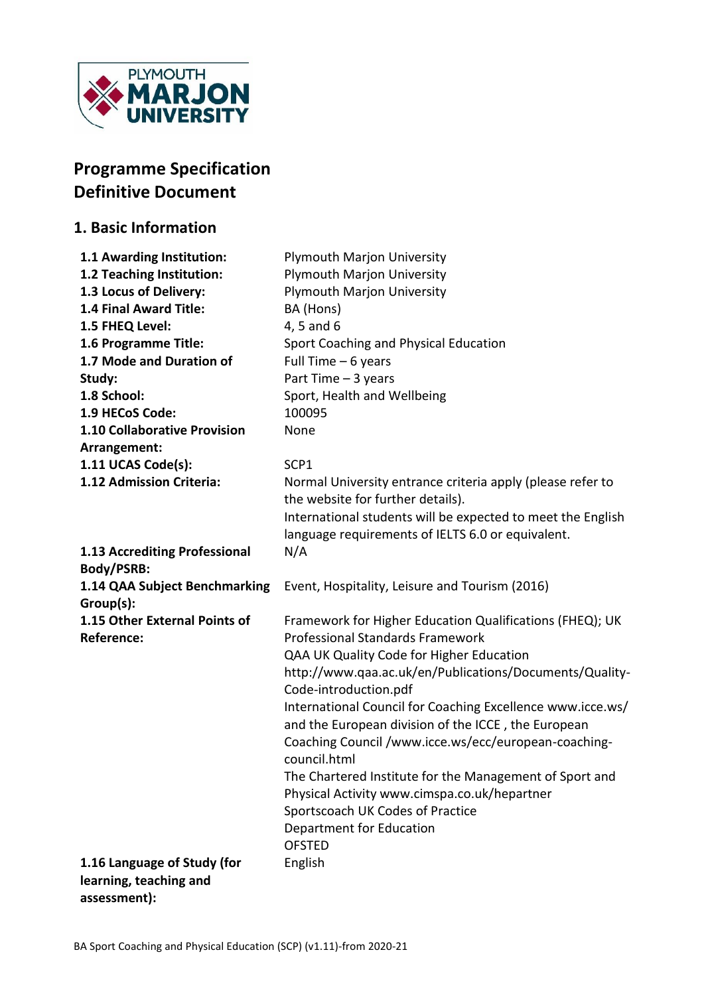

# **Programme Specification Definitive Document**

## **1. Basic Information**

| 1.1 Awarding Institution:                   | <b>Plymouth Marjon University</b>                                                                                |
|---------------------------------------------|------------------------------------------------------------------------------------------------------------------|
| 1.2 Teaching Institution:                   | <b>Plymouth Marjon University</b>                                                                                |
| 1.3 Locus of Delivery:                      | <b>Plymouth Marjon University</b>                                                                                |
| 1.4 Final Award Title:                      | BA (Hons)                                                                                                        |
| 1.5 FHEQ Level:                             | 4, 5 and 6                                                                                                       |
| 1.6 Programme Title:                        | Sport Coaching and Physical Education                                                                            |
| 1.7 Mode and Duration of                    | Full Time $-6$ years                                                                                             |
| Study:                                      | Part Time $-3$ years                                                                                             |
| 1.8 School:                                 | Sport, Health and Wellbeing                                                                                      |
| 1.9 HECoS Code:                             | 100095                                                                                                           |
| 1.10 Collaborative Provision                | None                                                                                                             |
| Arrangement:                                |                                                                                                                  |
| 1.11 UCAS Code(s):                          | SCP1                                                                                                             |
| 1.12 Admission Criteria:                    | Normal University entrance criteria apply (please refer to<br>the website for further details).                  |
|                                             | International students will be expected to meet the English<br>language requirements of IELTS 6.0 or equivalent. |
| 1.13 Accrediting Professional<br>Body/PSRB: | N/A                                                                                                              |
|                                             | Event, Hospitality, Leisure and Tourism (2016)                                                                   |
| 1.14 QAA Subject Benchmarking<br>Group(s):  |                                                                                                                  |
| 1.15 Other External Points of               | Framework for Higher Education Qualifications (FHEQ); UK                                                         |
| <b>Reference:</b>                           | <b>Professional Standards Framework</b>                                                                          |
|                                             | QAA UK Quality Code for Higher Education                                                                         |
|                                             | http://www.qaa.ac.uk/en/Publications/Documents/Quality-                                                          |
|                                             | Code-introduction.pdf                                                                                            |
|                                             | International Council for Coaching Excellence www.icce.ws/                                                       |
|                                             | and the European division of the ICCE, the European                                                              |
|                                             | Coaching Council /www.icce.ws/ecc/european-coaching-<br>council.html                                             |
|                                             | The Chartered Institute for the Management of Sport and                                                          |
|                                             | Physical Activity www.cimspa.co.uk/hepartner                                                                     |
|                                             | Sportscoach UK Codes of Practice                                                                                 |
|                                             | Department for Education                                                                                         |
|                                             | <b>OFSTED</b>                                                                                                    |
| 1.16 Language of Study (for                 | English                                                                                                          |
| learning, teaching and                      |                                                                                                                  |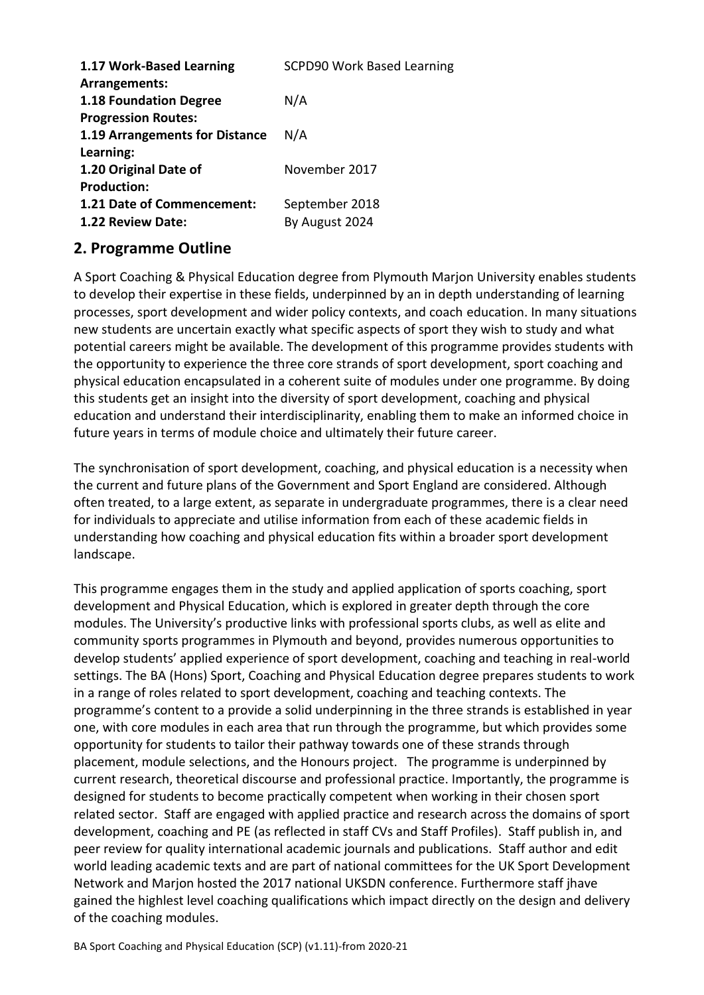| 1.17 Work-Based Learning       | <b>SCPD90 Work Based Learning</b> |
|--------------------------------|-----------------------------------|
| Arrangements:                  |                                   |
| <b>1.18 Foundation Degree</b>  | N/A                               |
| <b>Progression Routes:</b>     |                                   |
| 1.19 Arrangements for Distance | N/A                               |
| Learning:                      |                                   |
| 1.20 Original Date of          | November 2017                     |
| <b>Production:</b>             |                                   |
| 1.21 Date of Commencement:     | September 2018                    |
| 1.22 Review Date:              | By August 2024                    |
|                                |                                   |

# **2. Programme Outline**

A Sport Coaching & Physical Education degree from Plymouth Marjon University enables students to develop their expertise in these fields, underpinned by an in depth understanding of learning processes, sport development and wider policy contexts, and coach education. In many situations new students are uncertain exactly what specific aspects of sport they wish to study and what potential careers might be available. The development of this programme provides students with the opportunity to experience the three core strands of sport development, sport coaching and physical education encapsulated in a coherent suite of modules under one programme. By doing this students get an insight into the diversity of sport development, coaching and physical education and understand their interdisciplinarity, enabling them to make an informed choice in future years in terms of module choice and ultimately their future career.

The synchronisation of sport development, coaching, and physical education is a necessity when the current and future plans of the Government and Sport England are considered. Although often treated, to a large extent, as separate in undergraduate programmes, there is a clear need for individuals to appreciate and utilise information from each of these academic fields in understanding how coaching and physical education fits within a broader sport development landscape.

This programme engages them in the study and applied application of sports coaching, sport development and Physical Education, which is explored in greater depth through the core modules. The University's productive links with professional sports clubs, as well as elite and community sports programmes in Plymouth and beyond, provides numerous opportunities to develop students' applied experience of sport development, coaching and teaching in real-world settings. The BA (Hons) Sport, Coaching and Physical Education degree prepares students to work in a range of roles related to sport development, coaching and teaching contexts. The programme's content to a provide a solid underpinning in the three strands is established in year one, with core modules in each area that run through the programme, but which provides some opportunity for students to tailor their pathway towards one of these strands through placement, module selections, and the Honours project. The programme is underpinned by current research, theoretical discourse and professional practice. Importantly, the programme is designed for students to become practically competent when working in their chosen sport related sector. Staff are engaged with applied practice and research across the domains of sport development, coaching and PE (as reflected in staff CVs and Staff Profiles). Staff publish in, and peer review for quality international academic journals and publications. Staff author and edit world leading academic texts and are part of national committees for the UK Sport Development Network and Marjon hosted the 2017 national UKSDN conference. Furthermore staff jhave gained the highlest level coaching qualifications which impact directly on the design and delivery of the coaching modules.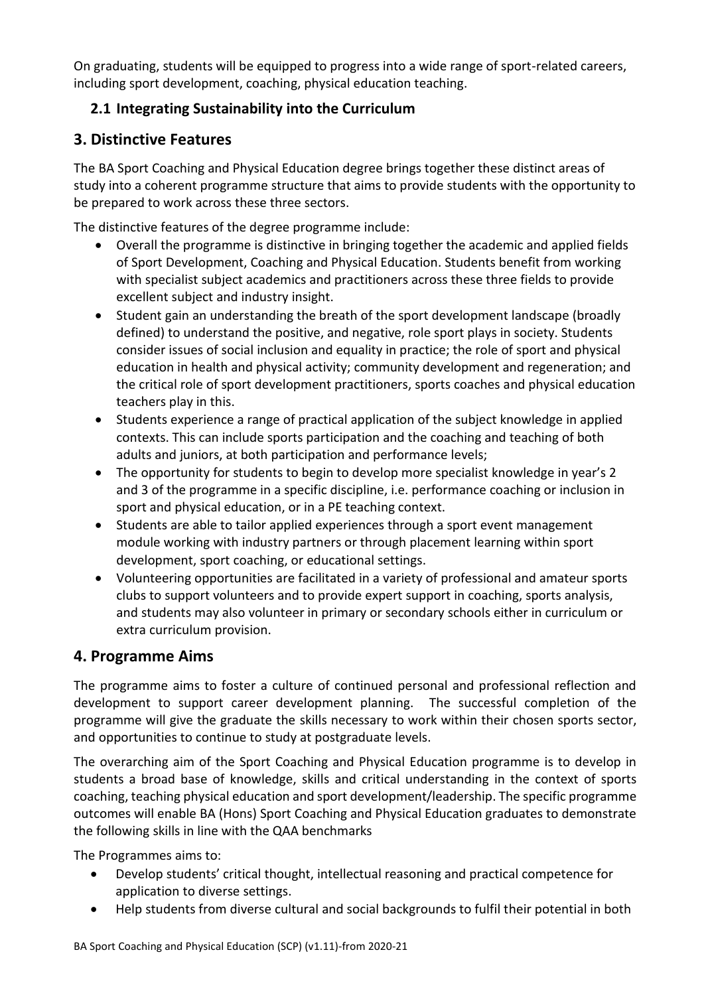On graduating, students will be equipped to progress into a wide range of sport-related careers, including sport development, coaching, physical education teaching.

# **2.1 Integrating Sustainability into the Curriculum**

## **3. Distinctive Features**

The BA Sport Coaching and Physical Education degree brings together these distinct areas of study into a coherent programme structure that aims to provide students with the opportunity to be prepared to work across these three sectors.

The distinctive features of the degree programme include:

- Overall the programme is distinctive in bringing together the academic and applied fields of Sport Development, Coaching and Physical Education. Students benefit from working with specialist subject academics and practitioners across these three fields to provide excellent subject and industry insight.
- Student gain an understanding the breath of the sport development landscape (broadly defined) to understand the positive, and negative, role sport plays in society. Students consider issues of social inclusion and equality in practice; the role of sport and physical education in health and physical activity; community development and regeneration; and the critical role of sport development practitioners, sports coaches and physical education teachers play in this.
- Students experience a range of practical application of the subject knowledge in applied contexts. This can include sports participation and the coaching and teaching of both adults and juniors, at both participation and performance levels;
- The opportunity for students to begin to develop more specialist knowledge in year's 2 and 3 of the programme in a specific discipline, i.e. performance coaching or inclusion in sport and physical education, or in a PE teaching context.
- Students are able to tailor applied experiences through a sport event management module working with industry partners or through placement learning within sport development, sport coaching, or educational settings.
- Volunteering opportunities are facilitated in a variety of professional and amateur sports clubs to support volunteers and to provide expert support in coaching, sports analysis, and students may also volunteer in primary or secondary schools either in curriculum or extra curriculum provision.

### **4. Programme Aims**

The programme aims to foster a culture of continued personal and professional reflection and development to support career development planning. The successful completion of the programme will give the graduate the skills necessary to work within their chosen sports sector, and opportunities to continue to study at postgraduate levels.

The overarching aim of the Sport Coaching and Physical Education programme is to develop in students a broad base of knowledge, skills and critical understanding in the context of sports coaching, teaching physical education and sport development/leadership. The specific programme outcomes will enable BA (Hons) Sport Coaching and Physical Education graduates to demonstrate the following skills in line with the QAA benchmarks

The Programmes aims to:

- Develop students' critical thought, intellectual reasoning and practical competence for application to diverse settings.
- Help students from diverse cultural and social backgrounds to fulfil their potential in both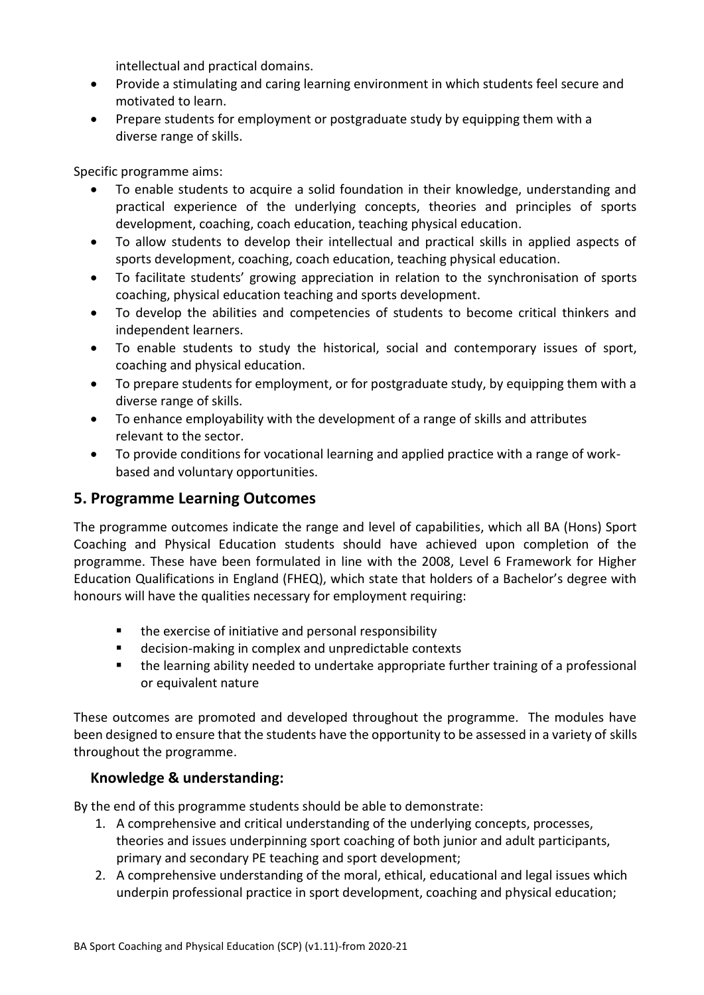intellectual and practical domains.

- Provide a stimulating and caring learning environment in which students feel secure and motivated to learn.
- Prepare students for employment or postgraduate study by equipping them with a diverse range of skills.

Specific programme aims:

- To enable students to acquire a solid foundation in their knowledge, understanding and practical experience of the underlying concepts, theories and principles of sports development, coaching, coach education, teaching physical education.
- To allow students to develop their intellectual and practical skills in applied aspects of sports development, coaching, coach education, teaching physical education.
- To facilitate students' growing appreciation in relation to the synchronisation of sports coaching, physical education teaching and sports development.
- To develop the abilities and competencies of students to become critical thinkers and independent learners.
- To enable students to study the historical, social and contemporary issues of sport, coaching and physical education.
- To prepare students for employment, or for postgraduate study, by equipping them with a diverse range of skills.
- To enhance employability with the development of a range of skills and attributes relevant to the sector.
- To provide conditions for vocational learning and applied practice with a range of workbased and voluntary opportunities.

## **5. Programme Learning Outcomes**

The programme outcomes indicate the range and level of capabilities, which all BA (Hons) Sport Coaching and Physical Education students should have achieved upon completion of the programme. These have been formulated in line with the 2008, Level 6 Framework for Higher Education Qualifications in England (FHEQ), which state that holders of a Bachelor's degree with honours will have the qualities necessary for employment requiring:

- the exercise of initiative and personal responsibility
- decision-making in complex and unpredictable contexts
- the learning ability needed to undertake appropriate further training of a professional or equivalent nature

These outcomes are promoted and developed throughout the programme. The modules have been designed to ensure that the students have the opportunity to be assessed in a variety of skills throughout the programme.

### **Knowledge & understanding:**

By the end of this programme students should be able to demonstrate:

- 1. A comprehensive and critical understanding of the underlying concepts, processes, theories and issues underpinning sport coaching of both junior and adult participants, primary and secondary PE teaching and sport development;
- 2. A comprehensive understanding of the moral, ethical, educational and legal issues which underpin professional practice in sport development, coaching and physical education;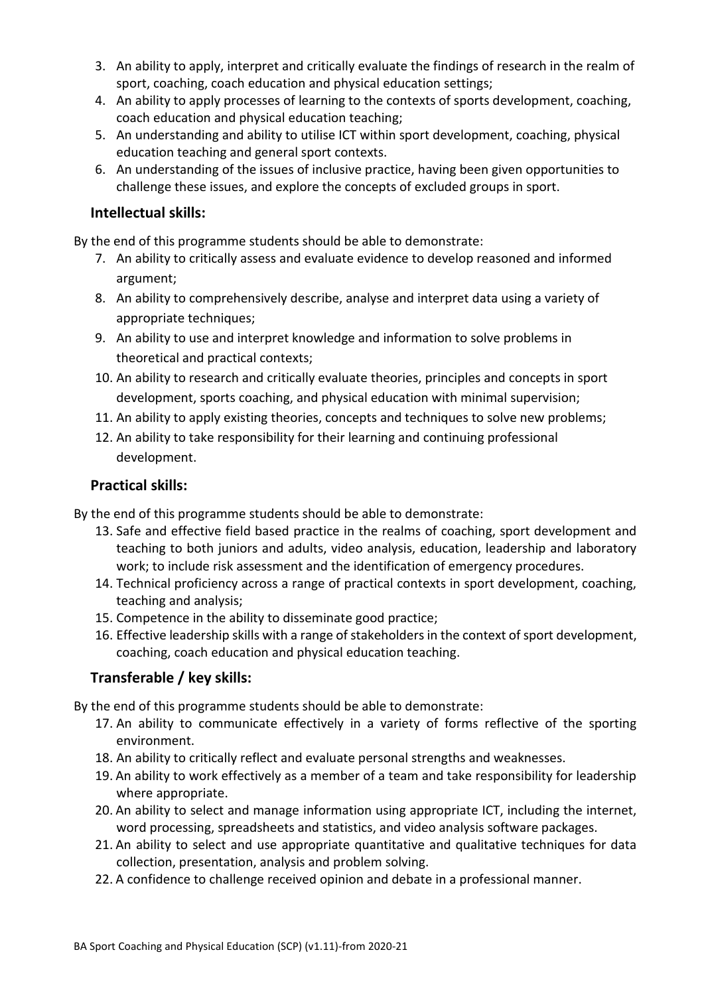- 3. An ability to apply, interpret and critically evaluate the findings of research in the realm of sport, coaching, coach education and physical education settings;
- 4. An ability to apply processes of learning to the contexts of sports development, coaching, coach education and physical education teaching;
- 5. An understanding and ability to utilise ICT within sport development, coaching, physical education teaching and general sport contexts.
- 6. An understanding of the issues of inclusive practice, having been given opportunities to challenge these issues, and explore the concepts of excluded groups in sport.

### **Intellectual skills:**

By the end of this programme students should be able to demonstrate:

- 7. An ability to critically assess and evaluate evidence to develop reasoned and informed argument;
- 8. An ability to comprehensively describe, analyse and interpret data using a variety of appropriate techniques;
- 9. An ability to use and interpret knowledge and information to solve problems in theoretical and practical contexts;
- 10. An ability to research and critically evaluate theories, principles and concepts in sport development, sports coaching, and physical education with minimal supervision;
- 11. An ability to apply existing theories, concepts and techniques to solve new problems;
- 12. An ability to take responsibility for their learning and continuing professional development.

### **Practical skills:**

By the end of this programme students should be able to demonstrate:

- 13. Safe and effective field based practice in the realms of coaching, sport development and teaching to both juniors and adults, video analysis, education, leadership and laboratory work; to include risk assessment and the identification of emergency procedures.
- 14. Technical proficiency across a range of practical contexts in sport development, coaching, teaching and analysis;
- 15. Competence in the ability to disseminate good practice;
- 16. Effective leadership skills with a range of stakeholders in the context of sport development, coaching, coach education and physical education teaching.

### **Transferable / key skills:**

By the end of this programme students should be able to demonstrate:

- 17. An ability to communicate effectively in a variety of forms reflective of the sporting environment.
- 18. An ability to critically reflect and evaluate personal strengths and weaknesses.
- 19. An ability to work effectively as a member of a team and take responsibility for leadership where appropriate.
- 20. An ability to select and manage information using appropriate ICT, including the internet, word processing, spreadsheets and statistics, and video analysis software packages.
- 21. An ability to select and use appropriate quantitative and qualitative techniques for data collection, presentation, analysis and problem solving.
- 22. A confidence to challenge received opinion and debate in a professional manner.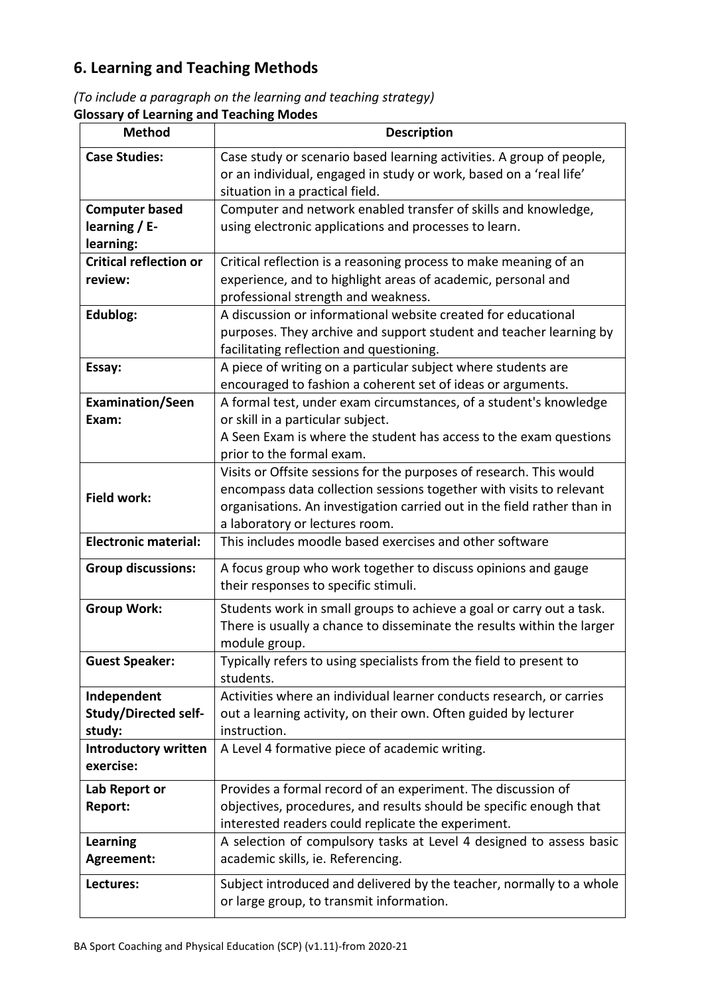# **6. Learning and Teaching Methods**

*(To include a paragraph on the learning and teaching strategy)* **Glossary of Learning and Teaching Modes**

| <b>Method</b>                 | <b>Description</b>                                                                                        |
|-------------------------------|-----------------------------------------------------------------------------------------------------------|
| <b>Case Studies:</b>          | Case study or scenario based learning activities. A group of people,                                      |
|                               | or an individual, engaged in study or work, based on a 'real life'<br>situation in a practical field.     |
| <b>Computer based</b>         | Computer and network enabled transfer of skills and knowledge,                                            |
| learning $/ E$ -              | using electronic applications and processes to learn.                                                     |
| learning:                     |                                                                                                           |
| <b>Critical reflection or</b> | Critical reflection is a reasoning process to make meaning of an                                          |
| review:                       | experience, and to highlight areas of academic, personal and                                              |
|                               | professional strength and weakness.                                                                       |
| Edublog:                      | A discussion or informational website created for educational                                             |
|                               | purposes. They archive and support student and teacher learning by                                        |
| Essay:                        | facilitating reflection and questioning.<br>A piece of writing on a particular subject where students are |
|                               | encouraged to fashion a coherent set of ideas or arguments.                                               |
| <b>Examination/Seen</b>       | A formal test, under exam circumstances, of a student's knowledge                                         |
| Exam:                         | or skill in a particular subject.                                                                         |
|                               | A Seen Exam is where the student has access to the exam questions                                         |
|                               | prior to the formal exam.                                                                                 |
|                               | Visits or Offsite sessions for the purposes of research. This would                                       |
| <b>Field work:</b>            | encompass data collection sessions together with visits to relevant                                       |
|                               | organisations. An investigation carried out in the field rather than in                                   |
| <b>Electronic material:</b>   | a laboratory or lectures room.<br>This includes moodle based exercises and other software                 |
|                               |                                                                                                           |
| <b>Group discussions:</b>     | A focus group who work together to discuss opinions and gauge                                             |
|                               | their responses to specific stimuli.                                                                      |
| <b>Group Work:</b>            | Students work in small groups to achieve a goal or carry out a task.                                      |
|                               | There is usually a chance to disseminate the results within the larger                                    |
|                               | module group.                                                                                             |
| <b>Guest Speaker:</b>         | Typically refers to using specialists from the field to present to<br>students.                           |
| Independent                   | Activities where an individual learner conducts research, or carries                                      |
| <b>Study/Directed self-</b>   | out a learning activity, on their own. Often guided by lecturer                                           |
| study:                        | instruction.                                                                                              |
| <b>Introductory written</b>   | A Level 4 formative piece of academic writing.                                                            |
| exercise:                     |                                                                                                           |
| Lab Report or                 | Provides a formal record of an experiment. The discussion of                                              |
| Report:                       | objectives, procedures, and results should be specific enough that                                        |
|                               | interested readers could replicate the experiment.                                                        |
| <b>Learning</b>               | A selection of compulsory tasks at Level 4 designed to assess basic                                       |
| Agreement:                    | academic skills, ie. Referencing.                                                                         |
| Lectures:                     | Subject introduced and delivered by the teacher, normally to a whole                                      |
|                               | or large group, to transmit information.                                                                  |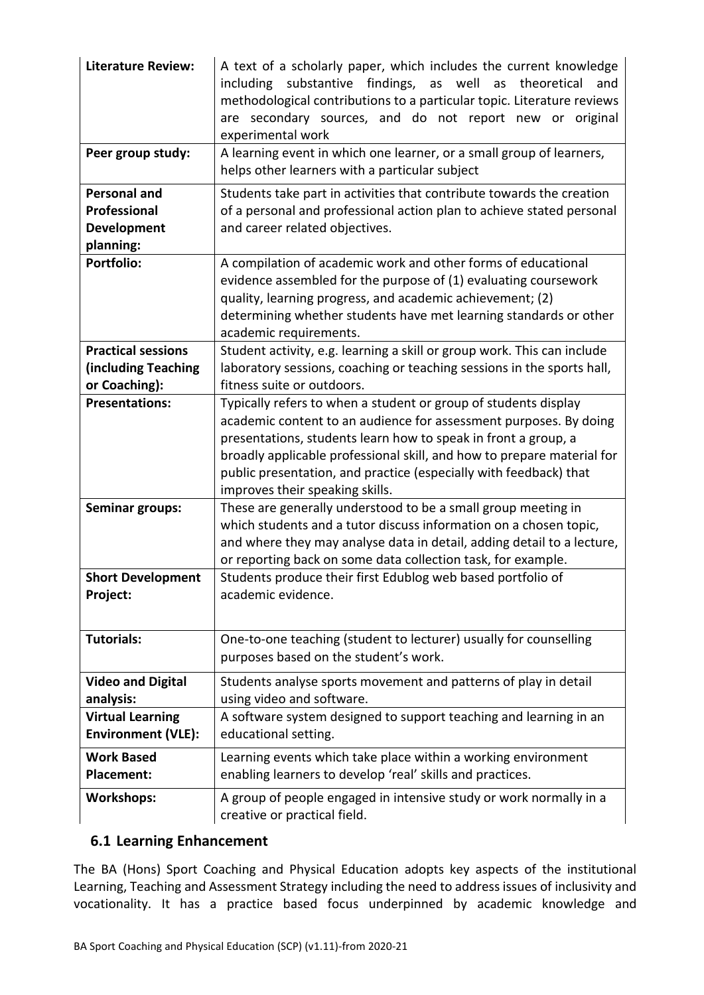| <b>Literature Review:</b><br>Peer group study:<br><b>Personal and</b> | A text of a scholarly paper, which includes the current knowledge<br>substantive<br>findings,<br>well<br>theoretical<br>including<br>as<br>as<br>and<br>methodological contributions to a particular topic. Literature reviews<br>are secondary sources, and do not report new or original<br>experimental work<br>A learning event in which one learner, or a small group of learners,<br>helps other learners with a particular subject<br>Students take part in activities that contribute towards the creation |
|-----------------------------------------------------------------------|--------------------------------------------------------------------------------------------------------------------------------------------------------------------------------------------------------------------------------------------------------------------------------------------------------------------------------------------------------------------------------------------------------------------------------------------------------------------------------------------------------------------|
| <b>Professional</b>                                                   | of a personal and professional action plan to achieve stated personal                                                                                                                                                                                                                                                                                                                                                                                                                                              |
| <b>Development</b>                                                    | and career related objectives.                                                                                                                                                                                                                                                                                                                                                                                                                                                                                     |
| planning:<br><b>Portfolio:</b>                                        | A compilation of academic work and other forms of educational<br>evidence assembled for the purpose of (1) evaluating coursework<br>quality, learning progress, and academic achievement; (2)<br>determining whether students have met learning standards or other<br>academic requirements.                                                                                                                                                                                                                       |
| <b>Practical sessions</b>                                             | Student activity, e.g. learning a skill or group work. This can include                                                                                                                                                                                                                                                                                                                                                                                                                                            |
| (including Teaching                                                   | laboratory sessions, coaching or teaching sessions in the sports hall,                                                                                                                                                                                                                                                                                                                                                                                                                                             |
| or Coaching):                                                         | fitness suite or outdoors.                                                                                                                                                                                                                                                                                                                                                                                                                                                                                         |
| <b>Presentations:</b>                                                 | Typically refers to when a student or group of students display<br>academic content to an audience for assessment purposes. By doing<br>presentations, students learn how to speak in front a group, a<br>broadly applicable professional skill, and how to prepare material for<br>public presentation, and practice (especially with feedback) that<br>improves their speaking skills.                                                                                                                           |
| <b>Seminar groups:</b>                                                | These are generally understood to be a small group meeting in<br>which students and a tutor discuss information on a chosen topic,<br>and where they may analyse data in detail, adding detail to a lecture,<br>or reporting back on some data collection task, for example.                                                                                                                                                                                                                                       |
| <b>Short Development</b>                                              | Students produce their first Edublog web based portfolio of                                                                                                                                                                                                                                                                                                                                                                                                                                                        |
| Project:                                                              | academic evidence.                                                                                                                                                                                                                                                                                                                                                                                                                                                                                                 |
| <b>Tutorials:</b>                                                     | One-to-one teaching (student to lecturer) usually for counselling<br>purposes based on the student's work.                                                                                                                                                                                                                                                                                                                                                                                                         |
| <b>Video and Digital</b>                                              | Students analyse sports movement and patterns of play in detail                                                                                                                                                                                                                                                                                                                                                                                                                                                    |
| analysis:                                                             | using video and software.                                                                                                                                                                                                                                                                                                                                                                                                                                                                                          |
| <b>Virtual Learning</b>                                               | A software system designed to support teaching and learning in an                                                                                                                                                                                                                                                                                                                                                                                                                                                  |
| <b>Environment (VLE):</b>                                             | educational setting.                                                                                                                                                                                                                                                                                                                                                                                                                                                                                               |
| <b>Work Based</b>                                                     | Learning events which take place within a working environment                                                                                                                                                                                                                                                                                                                                                                                                                                                      |
| <b>Placement:</b>                                                     | enabling learners to develop 'real' skills and practices.                                                                                                                                                                                                                                                                                                                                                                                                                                                          |
| <b>Workshops:</b>                                                     | A group of people engaged in intensive study or work normally in a<br>creative or practical field.                                                                                                                                                                                                                                                                                                                                                                                                                 |

### **6.1 Learning Enhancement**

The BA (Hons) Sport Coaching and Physical Education adopts key aspects of the institutional Learning, Teaching and Assessment Strategy including the need to address issues of inclusivity and vocationality. It has a practice based focus underpinned by academic knowledge and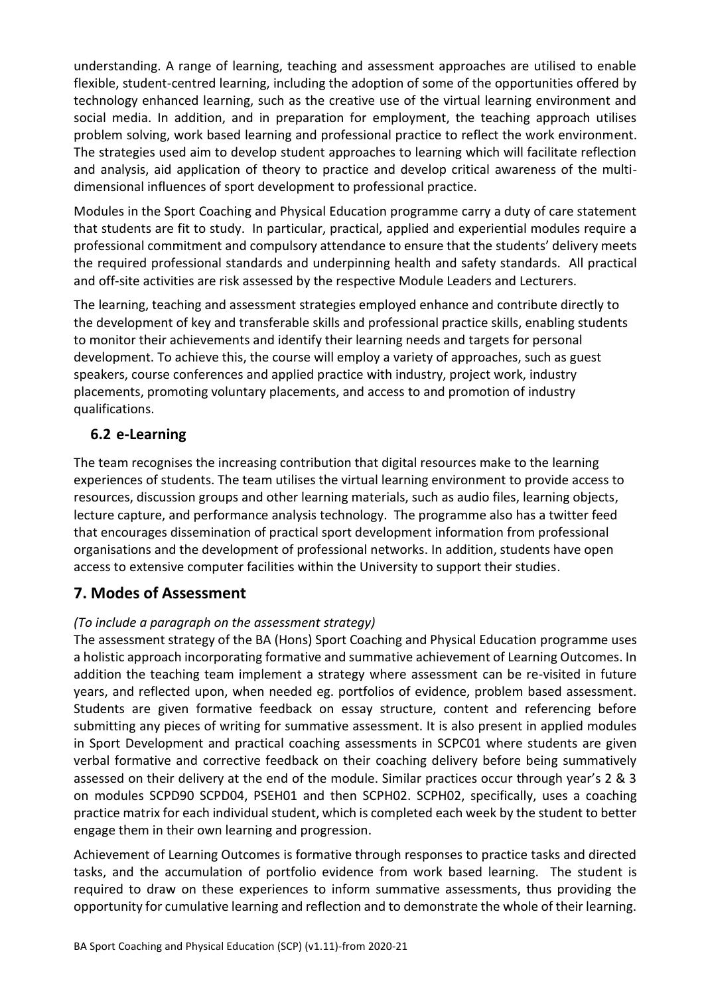understanding. A range of learning, teaching and assessment approaches are utilised to enable flexible, student-centred learning, including the adoption of some of the opportunities offered by technology enhanced learning, such as the creative use of the virtual learning environment and social media. In addition, and in preparation for employment, the teaching approach utilises problem solving, work based learning and professional practice to reflect the work environment. The strategies used aim to develop student approaches to learning which will facilitate reflection and analysis, aid application of theory to practice and develop critical awareness of the multidimensional influences of sport development to professional practice.

Modules in the Sport Coaching and Physical Education programme carry a duty of care statement that students are fit to study. In particular, practical, applied and experiential modules require a professional commitment and compulsory attendance to ensure that the students' delivery meets the required professional standards and underpinning health and safety standards. All practical and off-site activities are risk assessed by the respective Module Leaders and Lecturers.

The learning, teaching and assessment strategies employed enhance and contribute directly to the development of key and transferable skills and professional practice skills, enabling students to monitor their achievements and identify their learning needs and targets for personal development. To achieve this, the course will employ a variety of approaches, such as guest speakers, course conferences and applied practice with industry, project work, industry placements, promoting voluntary placements, and access to and promotion of industry qualifications.

### **6.2 e-Learning**

The team recognises the increasing contribution that digital resources make to the learning experiences of students. The team utilises the virtual learning environment to provide access to resources, discussion groups and other learning materials, such as audio files, learning objects, lecture capture, and performance analysis technology. The programme also has a twitter feed that encourages dissemination of practical sport development information from professional organisations and the development of professional networks. In addition, students have open access to extensive computer facilities within the University to support their studies.

### **7. Modes of Assessment**

### *(To include a paragraph on the assessment strategy)*

The assessment strategy of the BA (Hons) Sport Coaching and Physical Education programme uses a holistic approach incorporating formative and summative achievement of Learning Outcomes. In addition the teaching team implement a strategy where assessment can be re-visited in future years, and reflected upon, when needed eg. portfolios of evidence, problem based assessment. Students are given formative feedback on essay structure, content and referencing before submitting any pieces of writing for summative assessment. It is also present in applied modules in Sport Development and practical coaching assessments in SCPC01 where students are given verbal formative and corrective feedback on their coaching delivery before being summatively assessed on their delivery at the end of the module. Similar practices occur through year's 2 & 3 on modules SCPD90 SCPD04, PSEH01 and then SCPH02. SCPH02, specifically, uses a coaching practice matrix for each individual student, which is completed each week by the student to better engage them in their own learning and progression.

Achievement of Learning Outcomes is formative through responses to practice tasks and directed tasks, and the accumulation of portfolio evidence from work based learning. The student is required to draw on these experiences to inform summative assessments, thus providing the opportunity for cumulative learning and reflection and to demonstrate the whole of their learning.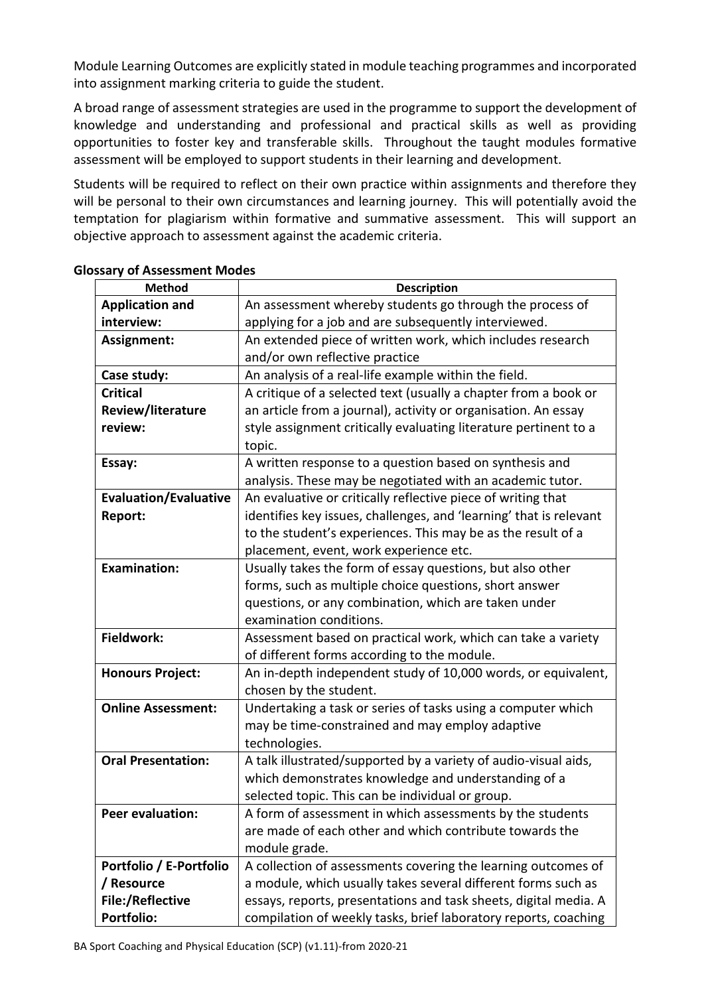Module Learning Outcomes are explicitly stated in module teaching programmes and incorporated into assignment marking criteria to guide the student.

A broad range of assessment strategies are used in the programme to support the development of knowledge and understanding and professional and practical skills as well as providing opportunities to foster key and transferable skills. Throughout the taught modules formative assessment will be employed to support students in their learning and development.

Students will be required to reflect on their own practice within assignments and therefore they will be personal to their own circumstances and learning journey. This will potentially avoid the temptation for plagiarism within formative and summative assessment. This will support an objective approach to assessment against the academic criteria.

| <b>Method</b>                | <b>Description</b>                                                 |
|------------------------------|--------------------------------------------------------------------|
| <b>Application and</b>       | An assessment whereby students go through the process of           |
| interview:                   | applying for a job and are subsequently interviewed.               |
| Assignment:                  | An extended piece of written work, which includes research         |
|                              | and/or own reflective practice                                     |
| Case study:                  | An analysis of a real-life example within the field.               |
| <b>Critical</b>              | A critique of a selected text (usually a chapter from a book or    |
| <b>Review/literature</b>     | an article from a journal), activity or organisation. An essay     |
| review:                      | style assignment critically evaluating literature pertinent to a   |
|                              | topic.                                                             |
| Essay:                       | A written response to a question based on synthesis and            |
|                              | analysis. These may be negotiated with an academic tutor.          |
| <b>Evaluation/Evaluative</b> | An evaluative or critically reflective piece of writing that       |
| Report:                      | identifies key issues, challenges, and 'learning' that is relevant |
|                              | to the student's experiences. This may be as the result of a       |
|                              | placement, event, work experience etc.                             |
| <b>Examination:</b>          | Usually takes the form of essay questions, but also other          |
|                              | forms, such as multiple choice questions, short answer             |
|                              | questions, or any combination, which are taken under               |
|                              | examination conditions.                                            |
| Fieldwork:                   | Assessment based on practical work, which can take a variety       |
|                              | of different forms according to the module.                        |
| <b>Honours Project:</b>      | An in-depth independent study of 10,000 words, or equivalent,      |
|                              | chosen by the student.                                             |
| <b>Online Assessment:</b>    | Undertaking a task or series of tasks using a computer which       |
|                              | may be time-constrained and may employ adaptive                    |
|                              | technologies.                                                      |
| <b>Oral Presentation:</b>    | A talk illustrated/supported by a variety of audio-visual aids,    |
|                              | which demonstrates knowledge and understanding of a                |
|                              | selected topic. This can be individual or group.                   |
| <b>Peer evaluation:</b>      | A form of assessment in which assessments by the students          |
|                              | are made of each other and which contribute towards the            |
|                              | module grade.                                                      |
| Portfolio / E-Portfolio      | A collection of assessments covering the learning outcomes of      |
| / Resource                   | a module, which usually takes several different forms such as      |
| <b>File:/Reflective</b>      | essays, reports, presentations and task sheets, digital media. A   |
| <b>Portfolio:</b>            | compilation of weekly tasks, brief laboratory reports, coaching    |

#### **Glossary of Assessment Modes**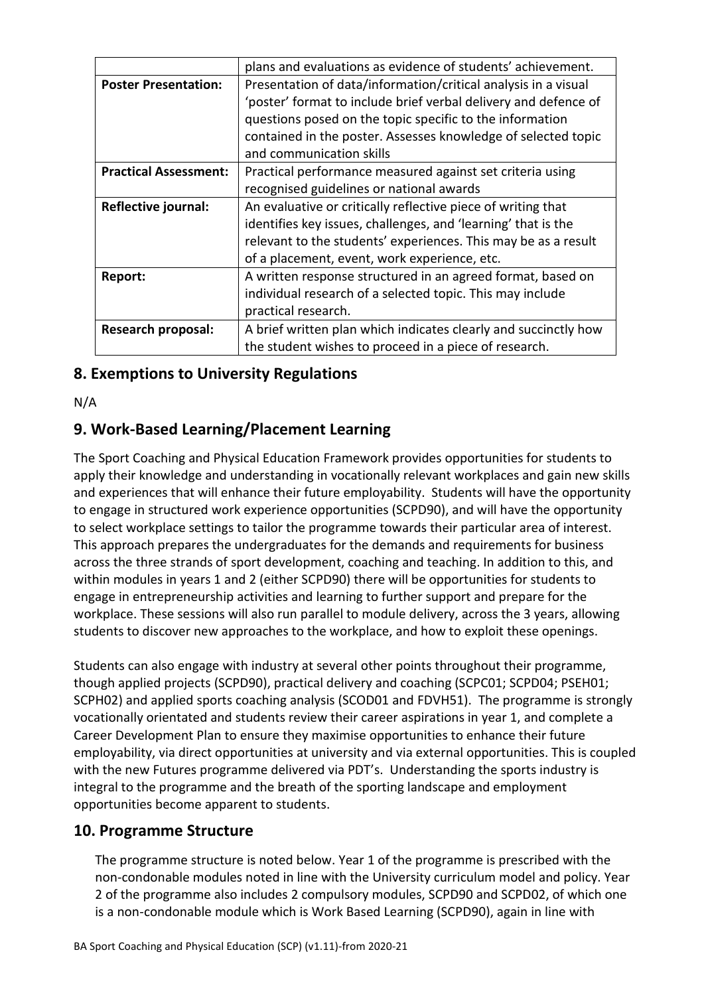|                              | plans and evaluations as evidence of students' achievement.                               |  |  |  |  |  |  |  |
|------------------------------|-------------------------------------------------------------------------------------------|--|--|--|--|--|--|--|
| <b>Poster Presentation:</b>  | Presentation of data/information/critical analysis in a visual                            |  |  |  |  |  |  |  |
|                              | 'poster' format to include brief verbal delivery and defence of                           |  |  |  |  |  |  |  |
|                              | questions posed on the topic specific to the information                                  |  |  |  |  |  |  |  |
|                              | contained in the poster. Assesses knowledge of selected topic<br>and communication skills |  |  |  |  |  |  |  |
|                              |                                                                                           |  |  |  |  |  |  |  |
| <b>Practical Assessment:</b> | Practical performance measured against set criteria using                                 |  |  |  |  |  |  |  |
|                              | recognised guidelines or national awards                                                  |  |  |  |  |  |  |  |
| Reflective journal:          | An evaluative or critically reflective piece of writing that                              |  |  |  |  |  |  |  |
|                              | identifies key issues, challenges, and 'learning' that is the                             |  |  |  |  |  |  |  |
|                              | relevant to the students' experiences. This may be as a result                            |  |  |  |  |  |  |  |
|                              | of a placement, event, work experience, etc.                                              |  |  |  |  |  |  |  |
| Report:                      | A written response structured in an agreed format, based on                               |  |  |  |  |  |  |  |
|                              | individual research of a selected topic. This may include                                 |  |  |  |  |  |  |  |
|                              | practical research.                                                                       |  |  |  |  |  |  |  |
| <b>Research proposal:</b>    | A brief written plan which indicates clearly and succinctly how                           |  |  |  |  |  |  |  |
|                              | the student wishes to proceed in a piece of research.                                     |  |  |  |  |  |  |  |

# **8. Exemptions to University Regulations**

N/A

# **9. Work-Based Learning/Placement Learning**

The Sport Coaching and Physical Education Framework provides opportunities for students to apply their knowledge and understanding in vocationally relevant workplaces and gain new skills and experiences that will enhance their future employability. Students will have the opportunity to engage in structured work experience opportunities (SCPD90), and will have the opportunity to select workplace settings to tailor the programme towards their particular area of interest. This approach prepares the undergraduates for the demands and requirements for business across the three strands of sport development, coaching and teaching. In addition to this, and within modules in years 1 and 2 (either SCPD90) there will be opportunities for students to engage in entrepreneurship activities and learning to further support and prepare for the workplace. These sessions will also run parallel to module delivery, across the 3 years, allowing students to discover new approaches to the workplace, and how to exploit these openings.

Students can also engage with industry at several other points throughout their programme, though applied projects (SCPD90), practical delivery and coaching (SCPC01; SCPD04; PSEH01; SCPH02) and applied sports coaching analysis (SCOD01 and FDVH51). The programme is strongly vocationally orientated and students review their career aspirations in year 1, and complete a Career Development Plan to ensure they maximise opportunities to enhance their future employability, via direct opportunities at university and via external opportunities. This is coupled with the new Futures programme delivered via PDT's. Understanding the sports industry is integral to the programme and the breath of the sporting landscape and employment opportunities become apparent to students.

### **10. Programme Structure**

The programme structure is noted below. Year 1 of the programme is prescribed with the non-condonable modules noted in line with the University curriculum model and policy. Year 2 of the programme also includes 2 compulsory modules, SCPD90 and SCPD02, of which one is a non-condonable module which is Work Based Learning (SCPD90), again in line with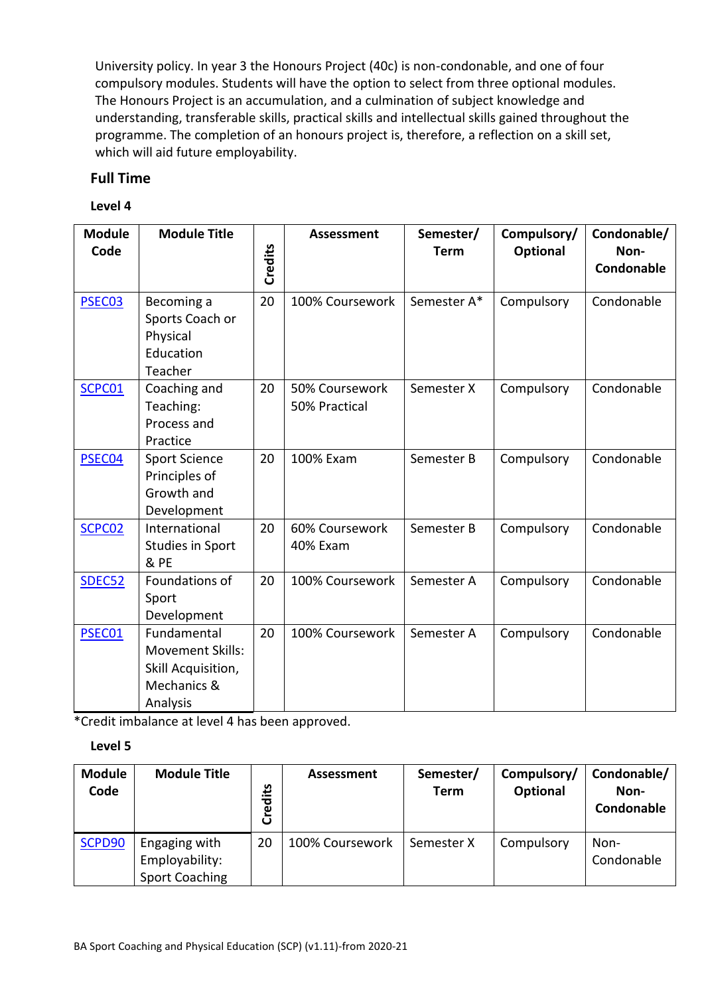University policy. In year 3 the Honours Project (40c) is non-condonable, and one of four compulsory modules. Students will have the option to select from three optional modules. The Honours Project is an accumulation, and a culmination of subject knowledge and understanding, transferable skills, practical skills and intellectual skills gained throughout the programme. The completion of an honours project is, therefore, a reflection on a skill set, which will aid future employability.

### **Full Time**

#### **Level 4**

| <b>Module</b><br>Code | <b>Module Title</b>                                                                     | Credits | Assessment                      | Semester/<br><b>Term</b> | Compulsory/<br><b>Optional</b> | Condonable/<br>Non-<br>Condonable |
|-----------------------|-----------------------------------------------------------------------------------------|---------|---------------------------------|--------------------------|--------------------------------|-----------------------------------|
| PSEC03                | Becoming a<br>Sports Coach or<br>Physical<br>Education<br>Teacher                       | 20      | 100% Coursework                 | Semester A*              | Compulsory                     | Condonable                        |
| SCPC01                | Coaching and<br>Teaching:<br>Process and<br>Practice                                    | 20      | 50% Coursework<br>50% Practical | Semester X               | Compulsory                     | Condonable                        |
| PSEC04                | <b>Sport Science</b><br>Principles of<br>Growth and<br>Development                      | 20      | 100% Exam                       | Semester B               | Compulsory                     | Condonable                        |
| SCPC02                | International<br>Studies in Sport<br>& PE                                               | 20      | 60% Coursework<br>40% Exam      | Semester B               | Compulsory                     | Condonable                        |
| SDEC52                | Foundations of<br>Sport<br>Development                                                  | 20      | 100% Coursework                 | Semester A               | Compulsory                     | Condonable                        |
| PSEC01                | Fundamental<br><b>Movement Skills:</b><br>Skill Acquisition,<br>Mechanics &<br>Analysis | 20      | 100% Coursework                 | Semester A               | Compulsory                     | Condonable                        |

\*Credit imbalance at level 4 has been approved.

#### **Level 5**

| <b>Module</b><br>Code | <b>Module Title</b>                                      | <u>ين</u><br>Credi | Assessment      | Semester/<br><b>Term</b> | Compulsory/<br><b>Optional</b> | Condonable/<br>Non-<br>Condonable |
|-----------------------|----------------------------------------------------------|--------------------|-----------------|--------------------------|--------------------------------|-----------------------------------|
| SCPD90                | Engaging with<br>Employability:<br><b>Sport Coaching</b> | 20                 | 100% Coursework | Semester X               | Compulsory                     | Non-<br>Condonable                |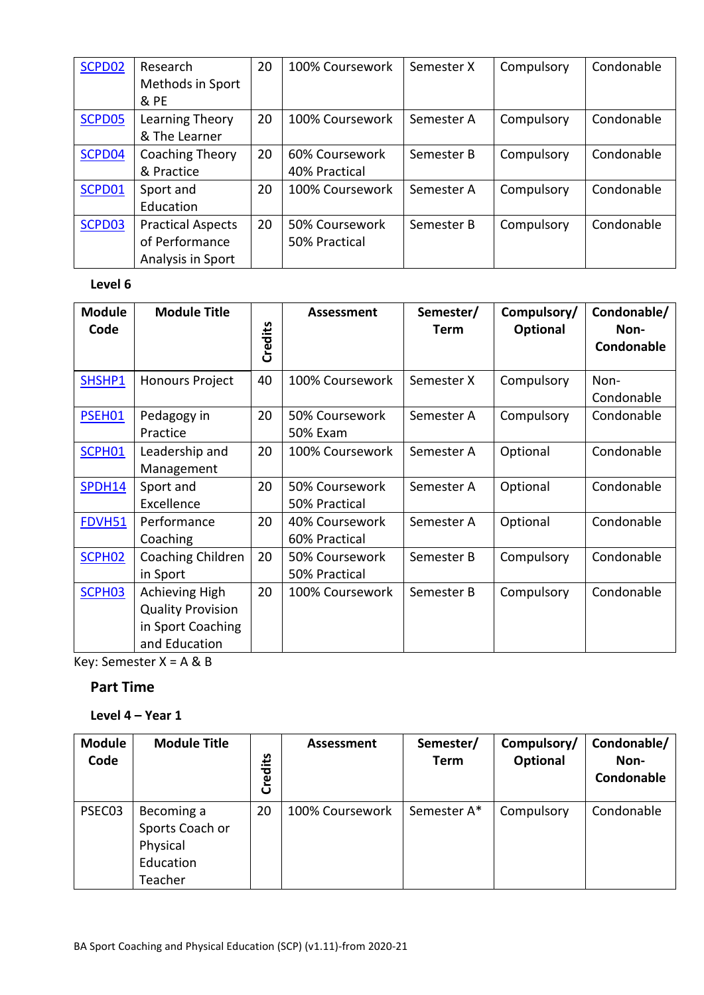| SCPD02 | Research                 | 20 | 100% Coursework | Semester X | Compulsory | Condonable |
|--------|--------------------------|----|-----------------|------------|------------|------------|
|        | Methods in Sport         |    |                 |            |            |            |
|        | & PE                     |    |                 |            |            |            |
| SCPD05 | Learning Theory          | 20 | 100% Coursework | Semester A | Compulsory | Condonable |
|        | & The Learner            |    |                 |            |            |            |
| SCPD04 | Coaching Theory          | 20 | 60% Coursework  | Semester B | Compulsory | Condonable |
|        | & Practice               |    | 40% Practical   |            |            |            |
| SCPD01 | Sport and                | 20 | 100% Coursework | Semester A | Compulsory | Condonable |
|        | Education                |    |                 |            |            |            |
| SCPD03 | <b>Practical Aspects</b> | 20 | 50% Coursework  | Semester B | Compulsory | Condonable |
|        | of Performance           |    | 50% Practical   |            |            |            |
|        | Analysis in Sport        |    |                 |            |            |            |

#### **Level 6**

| <b>Module</b><br>Code | <b>Module Title</b>                                                              | Credits | Assessment                        | Semester/<br><b>Term</b> | Compulsory/<br>Optional | Condonable/<br>Non-<br>Condonable |
|-----------------------|----------------------------------------------------------------------------------|---------|-----------------------------------|--------------------------|-------------------------|-----------------------------------|
| SHSHP1                | <b>Honours Project</b>                                                           | 40      | 100% Coursework                   | Semester X               | Compulsory              | Non-<br>Condonable                |
| PSEH01                | Pedagogy in<br>Practice                                                          | 20      | 50% Coursework<br><b>50% Exam</b> | Semester A               | Compulsory              | Condonable                        |
| SCPH01                | Leadership and<br>Management                                                     | 20      | 100% Coursework                   | Semester A               | Optional                | Condonable                        |
| SPDH14                | Sport and<br>Excellence                                                          | 20      | 50% Coursework<br>50% Practical   | Semester A               | Optional                | Condonable                        |
| FDVH51                | Performance<br>Coaching                                                          | 20      | 40% Coursework<br>60% Practical   | Semester A               | Optional                | Condonable                        |
| SCPH <sub>02</sub>    | Coaching Children<br>in Sport                                                    | 20      | 50% Coursework<br>50% Practical   | Semester B               | Compulsory              | Condonable                        |
| SCPH <sub>03</sub>    | Achieving High<br><b>Quality Provision</b><br>in Sport Coaching<br>and Education | 20      | 100% Coursework                   | Semester B               | Compulsory              | Condonable                        |

Key: Semester X = A & B

### **Part Time**

#### **Level 4 – Year 1**

| <b>Module</b><br>Code | <b>Module Title</b>                                               | Credits | Assessment      | Semester/<br>Term | Compulsory/<br>Optional | Condonable/<br>Non-<br>Condonable |
|-----------------------|-------------------------------------------------------------------|---------|-----------------|-------------------|-------------------------|-----------------------------------|
| PSEC03                | Becoming a<br>Sports Coach or<br>Physical<br>Education<br>Teacher | 20      | 100% Coursework | Semester A*       | Compulsory              | Condonable                        |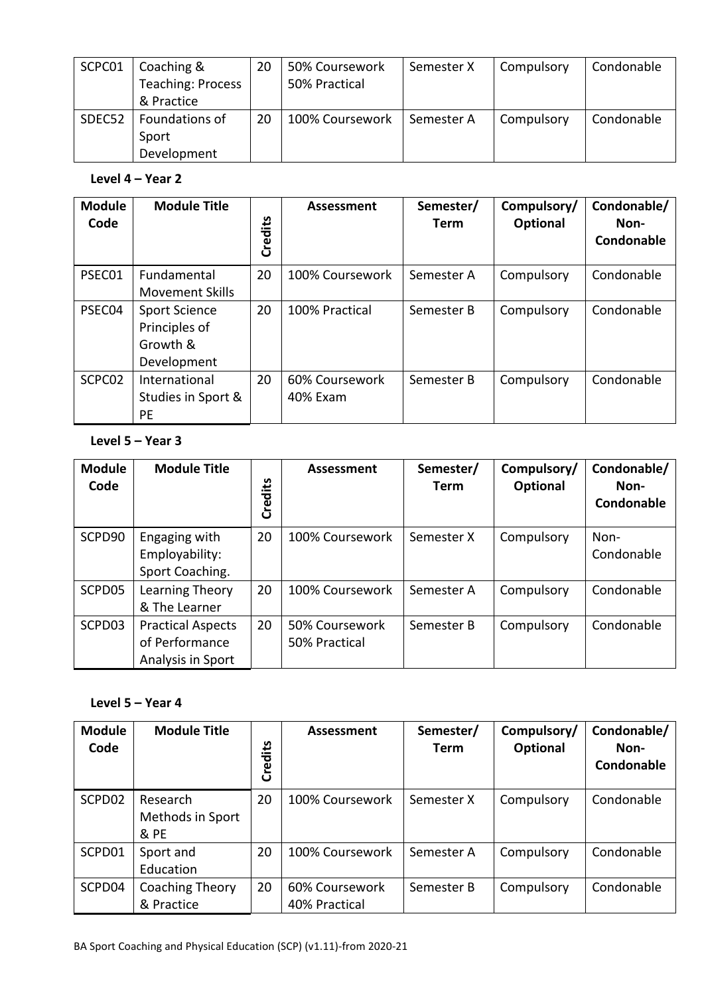| SCPC01 | Coaching &<br><b>Teaching: Process</b><br>& Practice | 20 | 50% Coursework<br>50% Practical | Semester X | Compulsory | Condonable |
|--------|------------------------------------------------------|----|---------------------------------|------------|------------|------------|
| SDEC52 | Foundations of<br>Sport<br>Development               | 20 | 100% Coursework                 | Semester A | Compulsory | Condonable |

### **Level 4 – Year 2**

| <b>Module</b><br>Code | <b>Module Title</b>                                              | Credits | Assessment                 | Semester/<br><b>Term</b> | Compulsory/<br><b>Optional</b> | Condonable/<br>Non-<br>Condonable |
|-----------------------|------------------------------------------------------------------|---------|----------------------------|--------------------------|--------------------------------|-----------------------------------|
| PSEC01                | Fundamental<br><b>Movement Skills</b>                            | 20      | 100% Coursework            | Semester A               | Compulsory                     | Condonable                        |
| PSEC04                | <b>Sport Science</b><br>Principles of<br>Growth &<br>Development | 20      | 100% Practical             | Semester B               | Compulsory                     | Condonable                        |
| SCPC <sub>02</sub>    | International<br>Studies in Sport &<br>PE                        | 20      | 60% Coursework<br>40% Exam | Semester B               | Compulsory                     | Condonable                        |

### **Level 5 – Year 3**

| <b>Module</b><br>Code | <b>Module Title</b>                                             | Credits | Assessment                      | Semester/<br><b>Term</b> | Compulsory/<br>Optional | Condonable/<br>Non-<br>Condonable |
|-----------------------|-----------------------------------------------------------------|---------|---------------------------------|--------------------------|-------------------------|-----------------------------------|
| SCPD90                | Engaging with<br>Employability:<br>Sport Coaching.              | 20      | 100% Coursework                 | Semester X               | Compulsory              | Non-<br>Condonable                |
| SCPD05                | Learning Theory<br>& The Learner                                | 20      | 100% Coursework                 | Semester A               | Compulsory              | Condonable                        |
| SCPD03                | <b>Practical Aspects</b><br>of Performance<br>Analysis in Sport | 20      | 50% Coursework<br>50% Practical | Semester B               | Compulsory              | Condonable                        |

### **Level 5 – Year 4**

| <b>Module</b><br>Code | <b>Module Title</b>                  | Credits | Assessment                      | Semester/<br>Term | Compulsory/<br>Optional | Condonable/<br>Non-<br>Condonable |
|-----------------------|--------------------------------------|---------|---------------------------------|-------------------|-------------------------|-----------------------------------|
| SCPD02                | Research<br>Methods in Sport<br>& PE | 20      | 100% Coursework                 | Semester X        | Compulsory              | Condonable                        |
| SCPD01                | Sport and<br>Education               | 20      | 100% Coursework                 | Semester A        | Compulsory              | Condonable                        |
| SCPD04                | Coaching Theory<br>& Practice        | 20      | 60% Coursework<br>40% Practical | Semester B        | Compulsory              | Condonable                        |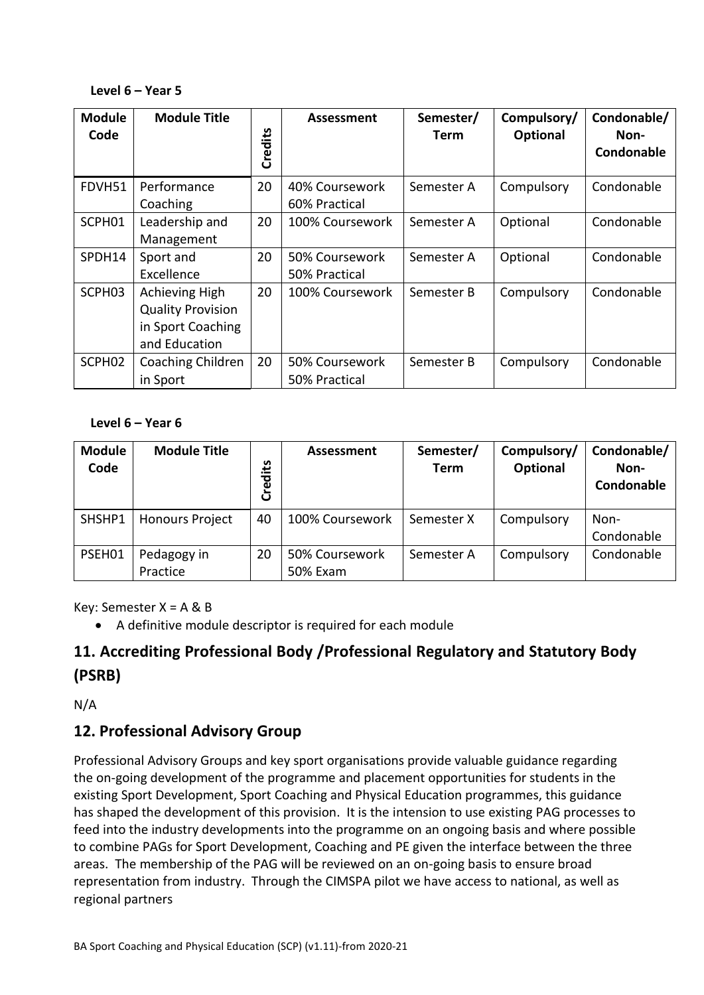#### **Level 6 – Year 5**

| <b>Module</b><br>Code | <b>Module Title</b>                                                              | Credits | Assessment                      | Semester/<br>Term | Compulsory/<br>Optional | Condonable/<br>Non-<br>Condonable |
|-----------------------|----------------------------------------------------------------------------------|---------|---------------------------------|-------------------|-------------------------|-----------------------------------|
| FDVH51                | Performance<br>Coaching                                                          | 20      | 40% Coursework<br>60% Practical | Semester A        | Compulsory              | Condonable                        |
| SCPH01                | Leadership and<br>Management                                                     | 20      | 100% Coursework                 | Semester A        | Optional                | Condonable                        |
| SPDH14                | Sport and<br>Excellence                                                          | 20      | 50% Coursework<br>50% Practical | Semester A        | Optional                | Condonable                        |
| SCPH <sub>03</sub>    | Achieving High<br><b>Quality Provision</b><br>in Sport Coaching<br>and Education | 20      | 100% Coursework                 | Semester B        | Compulsory              | Condonable                        |
| SCPH <sub>02</sub>    | Coaching Children<br>in Sport                                                    | 20      | 50% Coursework<br>50% Practical | Semester B        | Compulsory              | Condonable                        |

#### **Level 6 – Year 6**

| <b>Module</b><br>Code | <b>Module Title</b>     | مَ <del>ّا</del> :<br>Cred | Assessment                 | Semester/<br>Term | Compulsory/<br>Optional | Condonable/<br>Non-<br>Condonable |
|-----------------------|-------------------------|----------------------------|----------------------------|-------------------|-------------------------|-----------------------------------|
| SHSHP1                | <b>Honours Project</b>  | 40                         | 100% Coursework            | Semester X        | Compulsory              | Non-<br>Condonable                |
| PSEH01                | Pedagogy in<br>Practice | 20                         | 50% Coursework<br>50% Exam | Semester A        | Compulsory              | Condonable                        |

Key: Semester X = A & B

• A definitive module descriptor is required for each module

# **11. Accrediting Professional Body /Professional Regulatory and Statutory Body (PSRB)**

N/A

### **12. Professional Advisory Group**

Professional Advisory Groups and key sport organisations provide valuable guidance regarding the on-going development of the programme and placement opportunities for students in the existing Sport Development, Sport Coaching and Physical Education programmes, this guidance has shaped the development of this provision. It is the intension to use existing PAG processes to feed into the industry developments into the programme on an ongoing basis and where possible to combine PAGs for Sport Development, Coaching and PE given the interface between the three areas. The membership of the PAG will be reviewed on an on-going basis to ensure broad representation from industry. Through the CIMSPA pilot we have access to national, as well as regional partners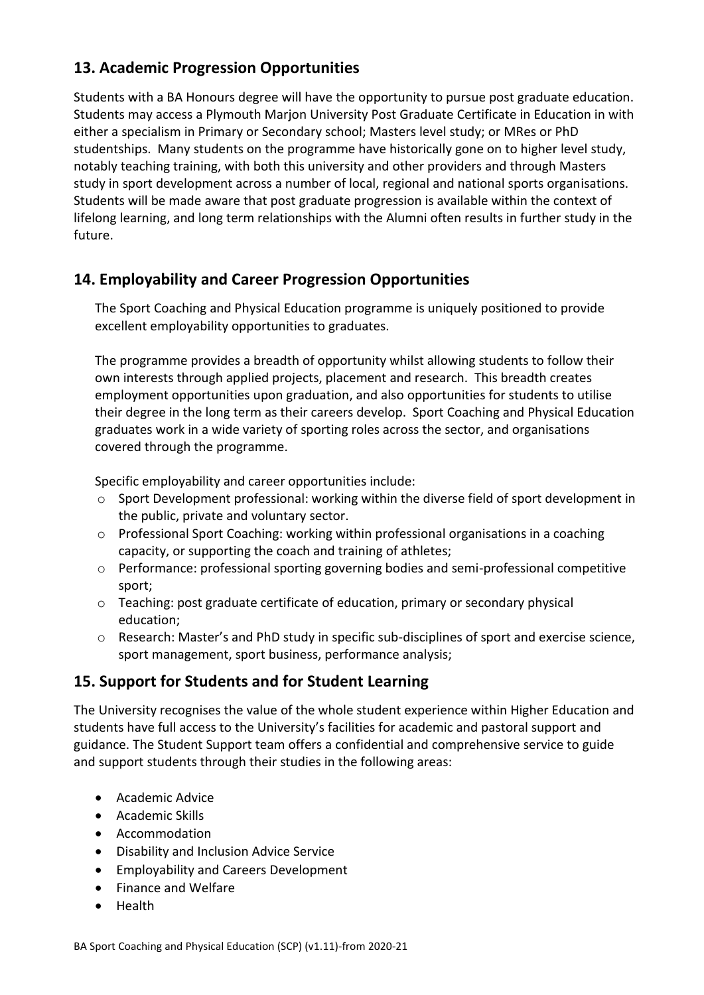# **13. Academic Progression Opportunities**

Students with a BA Honours degree will have the opportunity to pursue post graduate education. Students may access a Plymouth Marjon University Post Graduate Certificate in Education in with either a specialism in Primary or Secondary school; Masters level study; or MRes or PhD studentships. Many students on the programme have historically gone on to higher level study, notably teaching training, with both this university and other providers and through Masters study in sport development across a number of local, regional and national sports organisations. Students will be made aware that post graduate progression is available within the context of lifelong learning, and long term relationships with the Alumni often results in further study in the future.

# **14. Employability and Career Progression Opportunities**

The Sport Coaching and Physical Education programme is uniquely positioned to provide excellent employability opportunities to graduates.

The programme provides a breadth of opportunity whilst allowing students to follow their own interests through applied projects, placement and research. This breadth creates employment opportunities upon graduation, and also opportunities for students to utilise their degree in the long term as their careers develop. Sport Coaching and Physical Education graduates work in a wide variety of sporting roles across the sector, and organisations covered through the programme.

Specific employability and career opportunities include:

- o Sport Development professional: working within the diverse field of sport development in the public, private and voluntary sector.
- $\circ$  Professional Sport Coaching: working within professional organisations in a coaching capacity, or supporting the coach and training of athletes;
- o Performance: professional sporting governing bodies and semi-professional competitive sport;
- o Teaching: post graduate certificate of education, primary or secondary physical education;
- o Research: Master's and PhD study in specific sub-disciplines of sport and exercise science, sport management, sport business, performance analysis;

# **15. Support for Students and for Student Learning**

The University recognises the value of the whole student experience within Higher Education and students have full access to the University's facilities for academic and pastoral support and guidance. The Student Support team offers a confidential and comprehensive service to guide and support students through their studies in the following areas:

- Academic Advice
- Academic Skills
- Accommodation
- Disability and Inclusion Advice Service
- Employability and Careers Development
- Finance and Welfare
- Health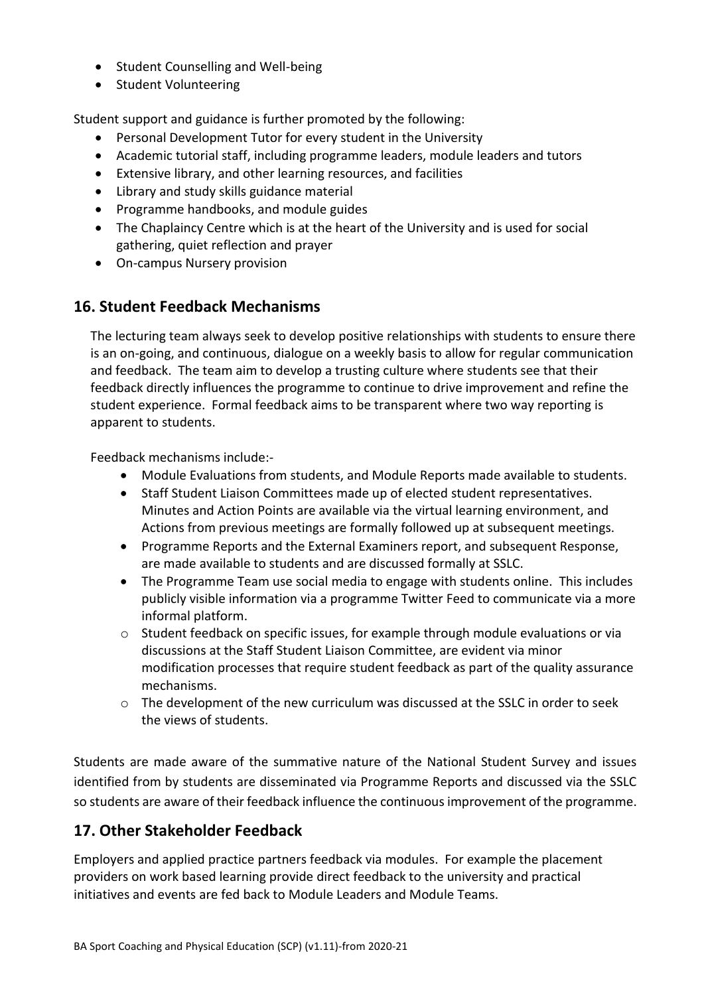- Student Counselling and Well-being
- Student Volunteering

Student support and guidance is further promoted by the following:

- Personal Development Tutor for every student in the University
- Academic tutorial staff, including programme leaders, module leaders and tutors
- Extensive library, and other learning resources, and facilities
- Library and study skills guidance material
- Programme handbooks, and module guides
- The Chaplaincy Centre which is at the heart of the University and is used for social gathering, quiet reflection and prayer
- On-campus Nursery provision

### **16. Student Feedback Mechanisms**

The lecturing team always seek to develop positive relationships with students to ensure there is an on-going, and continuous, dialogue on a weekly basis to allow for regular communication and feedback. The team aim to develop a trusting culture where students see that their feedback directly influences the programme to continue to drive improvement and refine the student experience. Formal feedback aims to be transparent where two way reporting is apparent to students.

Feedback mechanisms include:-

- Module Evaluations from students, and Module Reports made available to students.
- Staff Student Liaison Committees made up of elected student representatives. Minutes and Action Points are available via the virtual learning environment, and Actions from previous meetings are formally followed up at subsequent meetings.
- Programme Reports and the External Examiners report, and subsequent Response, are made available to students and are discussed formally at SSLC.
- The Programme Team use social media to engage with students online. This includes publicly visible information via a programme Twitter Feed to communicate via a more informal platform.
- o Student feedback on specific issues, for example through module evaluations or via discussions at the Staff Student Liaison Committee, are evident via minor modification processes that require student feedback as part of the quality assurance mechanisms.
- $\circ$  The development of the new curriculum was discussed at the SSLC in order to seek the views of students.

Students are made aware of the summative nature of the National Student Survey and issues identified from by students are disseminated via Programme Reports and discussed via the SSLC so students are aware of their feedback influence the continuous improvement of the programme.

### **17. Other Stakeholder Feedback**

Employers and applied practice partners feedback via modules. For example the placement providers on work based learning provide direct feedback to the university and practical initiatives and events are fed back to Module Leaders and Module Teams.